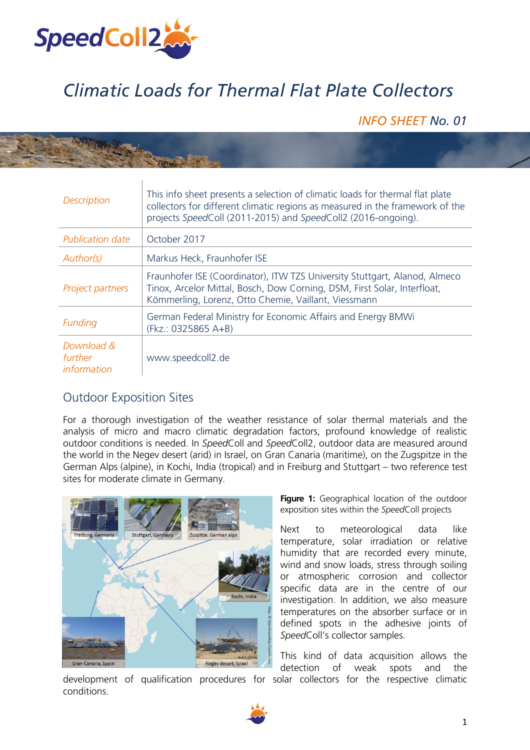

## *Climatic Loads for Thermal Flat Plate Collectors*

*INFO SHEET No. 01* 

|  | <b>Description</b>                   | This info sheet presents a selection of climatic loads for thermal flat plate<br>collectors for different climatic regions as measured in the framework of the<br>projects SpeedColl (2011-2015) and SpeedColl2 (2016-ongoing). |
|--|--------------------------------------|---------------------------------------------------------------------------------------------------------------------------------------------------------------------------------------------------------------------------------|
|  | <b>Publication date</b>              | October 2017                                                                                                                                                                                                                    |
|  | Author(s)                            | Markus Heck, Fraunhofer ISE                                                                                                                                                                                                     |
|  | Project partners                     | Fraunhofer ISE (Coordinator), ITW TZS University Stuttgart, Alanod, Almeco<br>Tinox, Arcelor Mittal, Bosch, Dow Corning, DSM, First Solar, Interfloat,<br>Kömmerling, Lorenz, Otto Chemie, Vaillant, Viessmann                  |
|  | Funding                              | German Federal Ministry for Economic Affairs and Energy BMWi<br>(Fkz.: 0325865 A+B)                                                                                                                                             |
|  | Download &<br>further<br>information | www.speedcoll2.de                                                                                                                                                                                                               |

## Outdoor Exposition Sites

For a thorough investigation of the weather resistance of solar thermal materials and the analysis of micro and macro climatic degradation factors, profound knowledge of realistic outdoor conditions is needed. In *Speed*Coll and *Speed*Coll2, outdoor data are measured around the world in the Negev desert (arid) in Israel, on Gran Canaria (maritime), on the Zugspitze in the German Alps (alpine), in Kochi, India (tropical) and in Freiburg and Stuttgart – two reference test sites for moderate climate in Germany.



**Figure 1:** Geographical location of the outdoor exposition sites within the *Speed*Coll projects

Next to meteorological data like temperature, solar irradiation or relative humidity that are recorded every minute, wind and snow loads, stress through soiling or atmospheric corrosion and collector specific data are in the centre of our investigation. In addition, we also measure temperatures on the absorber surface or in defined spots in the adhesive joints of *Speed*Coll's collector samples.

This kind of data acquisition allows the detection of weak spots and the

development of qualification procedures for solar collectors for the respective climatic conditions.